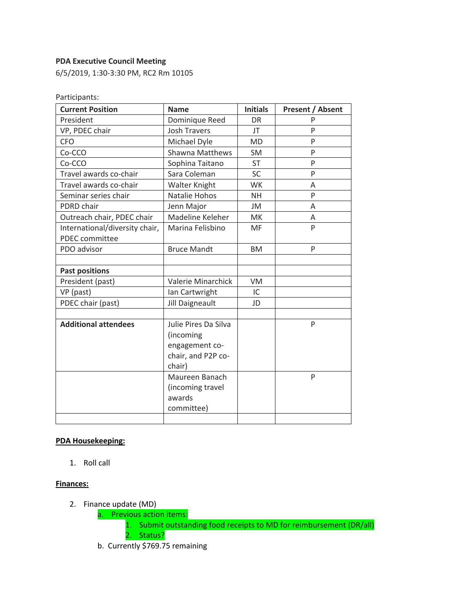### **PDA Executive Council Meeting**

6/5/2019, 1:30-3:30 PM, RC2 Rm 10105

| <b>Current Position</b>                                 | <b>Name</b>                                                                         | <b>Initials</b> | <b>Present / Absent</b> |
|---------------------------------------------------------|-------------------------------------------------------------------------------------|-----------------|-------------------------|
| President                                               | Dominique Reed                                                                      | DR              | P                       |
| VP, PDEC chair                                          | <b>Josh Travers</b>                                                                 | JT              | P                       |
| <b>CFO</b>                                              | Michael Dyle                                                                        | <b>MD</b>       | P                       |
| Co-CCO                                                  | <b>Shawna Matthews</b>                                                              | <b>SM</b>       | P                       |
| Co-CCO                                                  | Sophina Taitano                                                                     | ST              | P                       |
| Travel awards co-chair                                  | Sara Coleman                                                                        | <b>SC</b>       | P                       |
| Travel awards co-chair                                  | Walter Knight                                                                       | <b>WK</b>       | A                       |
| Seminar series chair                                    | Natalie Hohos                                                                       | <b>NH</b>       | P                       |
| PDRD chair                                              | Jenn Major                                                                          | JM              | A                       |
| Outreach chair, PDEC chair                              | Madeline Keleher                                                                    | MK              | Α                       |
| International/diversity chair,<br><b>PDEC</b> committee | Marina Felisbino                                                                    | MF              | P                       |
| PDO advisor                                             | <b>Bruce Mandt</b>                                                                  | <b>BM</b>       | P                       |
|                                                         |                                                                                     |                 |                         |
| <b>Past positions</b>                                   |                                                                                     |                 |                         |
| President (past)                                        | Valerie Minarchick                                                                  | <b>VM</b>       |                         |
| VP (past)                                               | Ian Cartwright                                                                      | IC              |                         |
| PDEC chair (past)                                       | Jill Daigneault                                                                     | JD              |                         |
|                                                         |                                                                                     |                 |                         |
| <b>Additional attendees</b>                             | Julie Pires Da Silva<br>(incoming<br>engagement co-<br>chair, and P2P co-<br>chair) |                 | P                       |
|                                                         | Maureen Banach<br>(incoming travel<br>awards<br>committee)                          |                 | P                       |

### **PDA Housekeeping:**

1. Roll call

### **Finances:**

- 2. Finance update (MD)
	- a. Previous action items:
		- 1. Submit outstanding food receipts to MD for reimbursement (DR/all)
		- 2. Status?
	- b. Currently \$769.75 remaining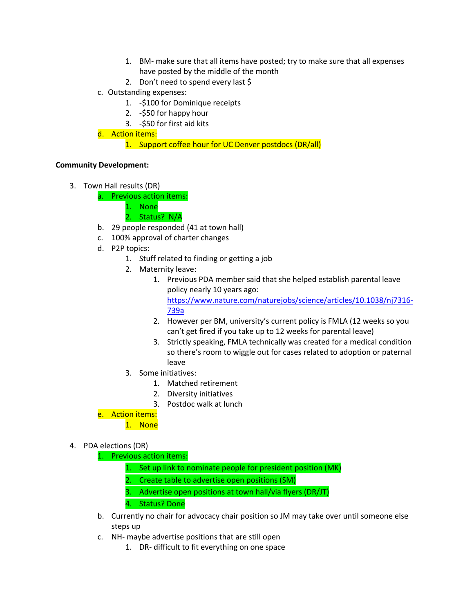- 1. BM- make sure that all items have posted; try to make sure that all expenses have posted by the middle of the month
- 2. Don't need to spend every last \$
- c. Outstanding expenses:
	- 1. -\$100 for Dominique receipts
	- 2. -\$50 for happy hour
	- 3. -\$50 for first aid kits
- d. Action items:
	- 1. Support coffee hour for UC Denver postdocs (DR/all)

# **Community Development:**

- 3. Town Hall results (DR)
	- a. Previous action items:
		- 1. None
		- 2. Status? N/A
	- b. 29 people responded (41 at town hall)
	- c. 100% approval of charter changes
	- d. P2P topics:
		- 1. Stuff related to finding or getting a job
		- 2. Maternity leave:
			- 1. Previous PDA member said that she helped establish parental leave policy nearly 10 years ago: https://www.nature.com/naturejobs/science/articles/10.1038/nj7316- 739a
			- 2. However per BM, university's current policy is FMLA (12 weeks so you can't get fired if you take up to 12 weeks for parental leave)
			- 3. Strictly speaking, FMLA technically was created for a medical condition so there's room to wiggle out for cases related to adoption or paternal leave
		- 3. Some initiatives:
			- 1. Matched retirement
			- 2. Diversity initiatives
			- 3. Postdoc walk at lunch
	- e. Action items:
		- 1. None
- 4. PDA elections (DR)
	- 1. Previous action items:
		- 1. Set up link to nominate people for president position (MK)
		- 2. Create table to advertise open positions (SM)
		- 3. Advertise open positions at town hall/via flyers (DR/JT)

4. Status? Done

- b. Currently no chair for advocacy chair position so JM may take over until someone else steps up
- c. NH- maybe advertise positions that are still open
	- 1. DR- difficult to fit everything on one space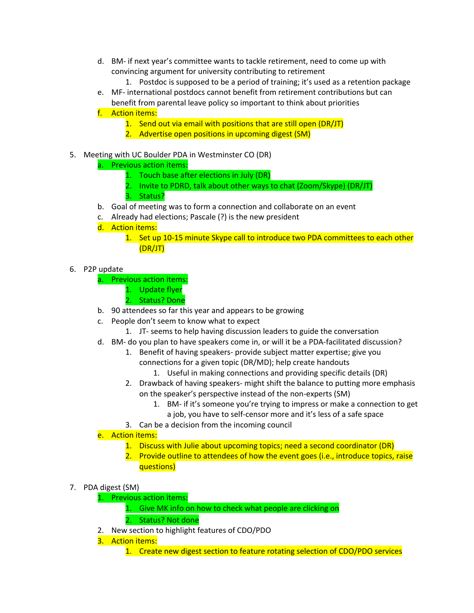- d. BM- if next year's committee wants to tackle retirement, need to come up with convincing argument for university contributing to retirement
	- 1. Postdoc is supposed to be a period of training; it's used as a retention package
- e. MF- international postdocs cannot benefit from retirement contributions but can benefit from parental leave policy so important to think about priorities
- f. Action items:
	- 1. Send out via email with positions that are still open (DR/JT)
	- 2. Advertise open positions in upcoming digest (SM)
- 5. Meeting with UC Boulder PDA in Westminster CO (DR)
	- a. Previous action items:
		- 1. Touch base after elections in July (DR)
		- 2. Invite to PDRD, talk about other ways to chat (Zoom/Skype) (DR/JT)
		- 3. Status?
	- b. Goal of meeting was to form a connection and collaborate on an event
	- c. Already had elections; Pascale (?) is the new president
	- d. Action items:
		- 1. Set up 10-15 minute Skype call to introduce two PDA committees to each other (DR/JT)
- 6. P2P update
	- a. Previous action items:
		- 1. Update flyer
		- 2. Status? Done
	- b. 90 attendees so far this year and appears to be growing
	- c. People don't seem to know what to expect
		- 1. JT- seems to help having discussion leaders to guide the conversation
	- d. BM- do you plan to have speakers come in, or will it be a PDA-facilitated discussion?
		- 1. Benefit of having speakers- provide subject matter expertise; give you connections for a given topic (DR/MD); help create handouts
			- 1. Useful in making connections and providing specific details (DR)
		- 2. Drawback of having speakers- might shift the balance to putting more emphasis on the speaker's perspective instead of the non-experts (SM)
			- 1. BM- if it's someone you're trying to impress or make a connection to get
				- a job, you have to self-censor more and it's less of a safe space
		- 3. Can be a decision from the incoming council
	- e. Action items:
		- 1. Discuss with Julie about upcoming topics; need a second coordinator (DR)
		- 2. Provide outline to attendees of how the event goes (i.e., introduce topics, raise questions)
- 7. PDA digest (SM)
	- 1. Previous action items:
		- 1. Give MK info on how to check what people are clicking on
		- 2. Status? Not done
	- 2. New section to highlight features of CDO/PDO
	- 3. Action items:
		- 1. Create new digest section to feature rotating selection of CDO/PDO services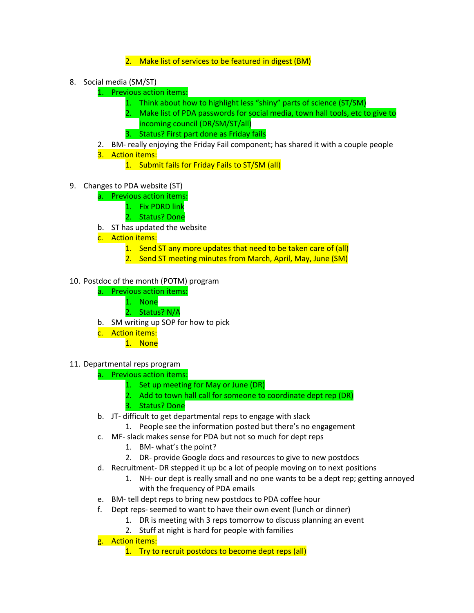# 2. Make list of services to be featured in digest (BM)

- 8. Social media (SM/ST)
	- 1. Previous action items:
		- 1. Think about how to highlight less "shiny" parts of science (ST/SM)
		- 2. Make list of PDA passwords for social media, town hall tools, etc to give to incoming council (DR/SM/ST/all)
		- 3. Status? First part done as Friday fails

# 2. BM- really enjoying the Friday Fail component; has shared it with a couple people

- 3. Action items:
	- 1. Submit fails for Friday Fails to ST/SM (all)
- 9. Changes to PDA website (ST)
	- a. Previous action items:
		- 1. Fix PDRD link
		- 2. Status? Done
	- b. ST has updated the website
	- c. Action items:
		- 1. Send ST any more updates that need to be taken care of (all)
		- 2. Send ST meeting minutes from March, April, May, June (SM)
- 10. Postdoc of the month (POTM) program
	- a. Previous action items:
		- 1. None
			- 2. Status? N/A
	- b. SM writing up SOP for how to pick
	- c. Action items:
		- 1. None
- 11. Departmental reps program
	- a. Previous action items:
		- 1. Set up meeting for May or June (DR)
		- 2. Add to town hall call for someone to coordinate dept rep (DR)
		- 3. Status? Done
	- b. JT- difficult to get departmental reps to engage with slack
		- 1. People see the information posted but there's no engagement
	- c. MF- slack makes sense for PDA but not so much for dept reps
		- 1. BM- what's the point?
		- 2. DR- provide Google docs and resources to give to new postdocs
	- d. Recruitment- DR stepped it up bc a lot of people moving on to next positions
		- 1. NH- our dept is really small and no one wants to be a dept rep; getting annoyed with the frequency of PDA emails
	- e. BM- tell dept reps to bring new postdocs to PDA coffee hour
	- f. Dept reps- seemed to want to have their own event (lunch or dinner)
		- 1. DR is meeting with 3 reps tomorrow to discuss planning an event
			- 2. Stuff at night is hard for people with families
	- g. Action items:
		- 1. Try to recruit postdocs to become dept reps (all)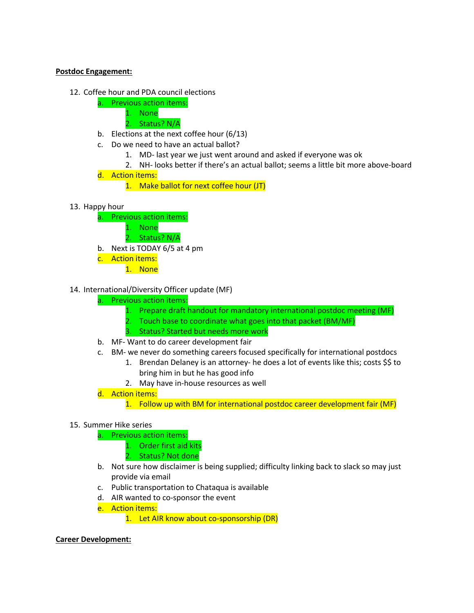#### **Postdoc Engagement:**

- 12. Coffee hour and PDA council elections
	- a. Previous action items:
		- 1. None
		- 2. Status? N/A
	- b. Elections at the next coffee hour (6/13)
	- c. Do we need to have an actual ballot?
		- 1. MD- last year we just went around and asked if everyone was ok
		- 2. NH- looks better if there's an actual ballot; seems a little bit more above-board
	- d. Action items:
		- 1. Make ballot for next coffee hour (JT)
- 13. Happy hour
	- a. Previous action items:
		- 1. None
		- 2. Status? N/A
	- b. Next is TODAY 6/5 at 4 pm
	- c. Action items:
		- 1. None

### 14. International/Diversity Officer update (MF)

- a. Previous action items:
	- 1. Prepare draft handout for mandatory international postdoc meeting (MF)
	- 2. Touch base to coordinate what goes into that packet (BM/MF)
	- 3. Status? Started but needs more work
- b. MF- Want to do career development fair
- c. BM- we never do something careers focused specifically for international postdocs
	- 1. Brendan Delaney is an attorney- he does a lot of events like this; costs \$\$ to bring him in but he has good info
	- 2. May have in-house resources as well
- d. Action items:
	- 1. Follow up with BM for international postdoc career development fair (MF)

### 15. Summer Hike series

- a. Previous action items:
	- 1. Order first aid kits
	- 2. Status? Not done
- b. Not sure how disclaimer is being supplied; difficulty linking back to slack so may just provide via email
- c. Public transportation to Chataqua is available
- d. AIR wanted to co-sponsor the event
- e. Action items:
	- 1. Let AIR know about co-sponsorship (DR)

### **Career Development:**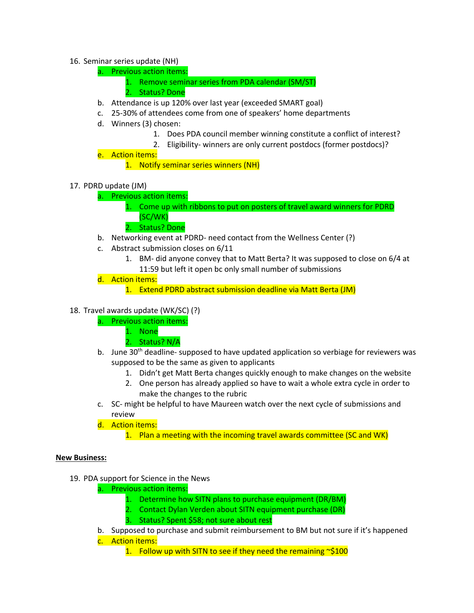### 16. Seminar series update (NH)

- a. Previous action items:
	- 1. Remove seminar series from PDA calendar (SM/ST)
	- 2. Status? Done
- b. Attendance is up 120% over last year (exceeded SMART goal)
- c. 25-30% of attendees come from one of speakers' home departments
- d. Winners (3) chosen:
	- 1. Does PDA council member winning constitute a conflict of interest?
	- 2. Eligibility- winners are only current postdocs (former postdocs)?
- e. Action items:
	- 1. Notify seminar series winners (NH)
- 17. PDRD update (JM)
	- a. Previous action items:
		- 1. Come up with ribbons to put on posters of travel award winners for PDRD (SC/WK)
		- 2. Status? Done
	- b. Networking event at PDRD- need contact from the Wellness Center (?)
	- c. Abstract submission closes on 6/11
		- 1. BM- did anyone convey that to Matt Berta? It was supposed to close on 6/4 at 11:59 but left it open bc only small number of submissions
	- d. Action items:
		- 1. Extend PDRD abstract submission deadline via Matt Berta (JM)

### 18. Travel awards update (WK/SC) (?)

- a. Previous action items:
	- 1. None
	- 2. Status? N/A
- b. June 30<sup>th</sup> deadline- supposed to have updated application so verbiage for reviewers was supposed to be the same as given to applicants
	- 1. Didn't get Matt Berta changes quickly enough to make changes on the website
	- 2. One person has already applied so have to wait a whole extra cycle in order to make the changes to the rubric
- c. SC- might be helpful to have Maureen watch over the next cycle of submissions and review
- d. Action items:

1. Plan a meeting with the incoming travel awards committee (SC and WK)

#### **New Business:**

- 19. PDA support for Science in the News
	- a. Previous action items:
		- 1. Determine how SITN plans to purchase equipment (DR/BM)
		- 2. Contact Dylan Verden about SITN equipment purchase (DR)
		- 3. Status? Spent \$58; not sure about rest
	- b. Supposed to purchase and submit reimbursement to BM but not sure if it's happened
	- c. Action items:
		- 1. Follow up with SITN to see if they need the remaining  $\sim$ \$100